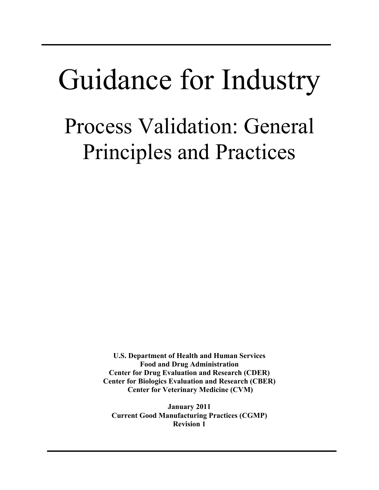## Guidance for Industry

### Process Validation: General Principles and Practices

**U.S. Department of Health and Human Services Food and Drug Administration Center for Drug Evaluation and Research (CDER) Center for Biologics Evaluation and Research (CBER) Center for Veterinary Medicine (CVM)** 

**January 2011 Current Good Manufacturing Practices (CGMP) Revision 1**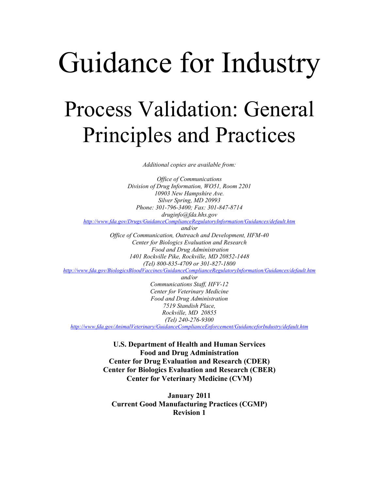# Guidance for Industry Process Validation: General Principles and Practices

*Additional copies are available from:* 

*Office of Communications Division of Drug Information, WO51, Room 2201 10903 New Hampshire Ave. Silver Spring, MD 20993 Phone: 301-796-3400; Fax: 301-847-8714 druginfo@fda.hhs.gov <http://www.fda.gov/Drugs/GuidanceComplianceRegulatoryInformation/Guidances/default.htm> and/or Office of Communication, Outreach and Development, HFM-40 Center for Biologics Evaluation and Research Food and Drug Administration 1401 Rockville Pike, Rockville, MD 20852-1448 (Tel) 800-835-4709 or 301-827-1800 <http://www.fda.gov/BiologicsBloodVaccines/GuidanceComplianceRegulatoryInformation/Guidances/default.htm> and/or Communications Staff, HFV-12 Center for Veterinary Medicine Food and Drug Administration* 

*Rockville, MD 20855 (Tel) 240-276-9300* 

*<http://www.fda.gov/AnimalVeterinary/GuidanceComplianceEnforcement/GuidanceforIndustry/default.htm>*

*7519 Standish Place,* 

**U.S. Department of Health and Human Services Food and Drug Administration Center for Drug Evaluation and Research (CDER) Center for Biologics Evaluation and Research (CBER) Center for Veterinary Medicine (CVM)** 

**January 2011 Current Good Manufacturing Practices (CGMP) Revision 1**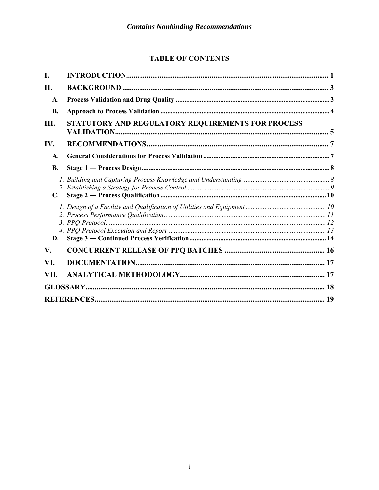#### **TABLE OF CONTENTS**

| L.        |                                                   |  |
|-----------|---------------------------------------------------|--|
| Π.        |                                                   |  |
| A.        |                                                   |  |
| <b>B.</b> |                                                   |  |
| Ш.        | STATUTORY AND REGULATORY REQUIREMENTS FOR PROCESS |  |
| IV.       |                                                   |  |
| A.        |                                                   |  |
| <b>B.</b> |                                                   |  |
| C.        |                                                   |  |
| D.        |                                                   |  |
| V.        |                                                   |  |
| VI.       |                                                   |  |
| VII.      |                                                   |  |
|           |                                                   |  |
|           |                                                   |  |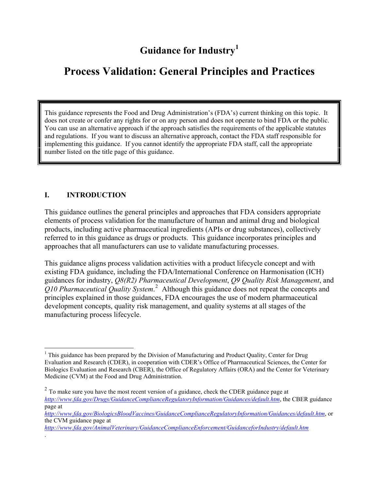### <span id="page-3-0"></span>**Process Validation: General Principles and Practices**

This guidance represents the Food and Drug Administration's (FDA's) current thinking on this topic. It does not create or confer any rights for or on any person and does not operate to bind FDA or the public. You can use an alternative approach if the approach satisfies the requirements of the applicable statutes and regulations. If you want to discuss an alternative approach, contact the FDA staff responsible for implementing this guidance. If you cannot identify the appropriate FDA staff, call the appropriate number listed on the title page of this guidance.

#### **I. INTRODUCTION**

This guidance outlines the general principles and approaches that FDA considers appropriate elements of process validation for the manufacture of human and animal drug and biological products, including active pharmaceutical ingredients (APIs or drug substances), collectively referred to in this guidance as drugs or products. This guidance incorporates principles and approaches that all manufacturers can use to validate manufacturing processes.

This guidance aligns process validation activities with a product lifecycle concept and with existing FDA guidance, including the FDA/International Conference on Harmonisation (ICH) guidances for industry, *Q8(R2) Pharmaceutical Development*, *Q9 Quality Risk Management*, and *Q10 Pharmaceutical Quality System*. [2](#page-3-2) Although this guidance does not repeat the concepts and principles explained in those guidances, FDA encourages the use of modern pharmaceutical development concepts, quality risk management, and quality systems at all stages of the manufacturing process lifecycle.

<span id="page-3-1"></span> $\overline{a}$ <sup>1</sup> This guidance has been prepared by the Division of Manufacturing and Product Quality, Center for Drug Evaluation and Research (CDER), in cooperation with CDER's Office of Pharmaceutical Sciences, the Center for Biologics Evaluation and Research (CBER), the Office of Regulatory Affairs (ORA) and the Center for Veterinary Medicine (CVM) at the Food and Drug Administration.

<span id="page-3-2"></span> $2\degree$  To make sure you have the most recent version of a guidance, check the CDER guidance page at *<http://www.fda.gov/Drugs/GuidanceComplianceRegulatoryInformation/Guidances/default.htm>*, the CBER guidance page at

*<http://www.fda.gov/BiologicsBloodVaccines/GuidanceComplianceRegulatoryInformation/Guidances/default.htm>*, or the CVM guidance page at

*<http://www.fda.gov/AnimalVeterinary/GuidanceComplianceEnforcement/GuidanceforIndustry/default.htm>* . T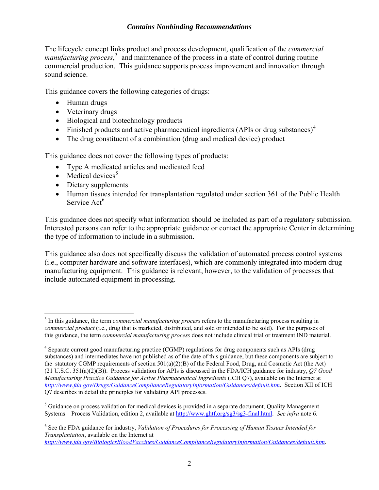The lifecycle concept links product and process development, qualification of the *commercial*  manufacturing process,<sup>[3](#page-4-0)</sup> and maintenance of the process in a state of control during routine commercial production. This guidance supports process improvement and innovation through sound science.

This guidance covers the following categories of drugs:

- Human drugs
- Veterinary drugs
- Biological and biotechnology products
- Finished products and active pharmaceutical ingredients (APIs or drug substances) $<sup>4</sup>$  $<sup>4</sup>$  $<sup>4</sup>$ </sup>
- The drug constituent of a combination (drug and medical device) product

This guidance does not cover the following types of products:

- Type A medicated articles and medicated feed
- Medical devices<sup>[5](#page-4-2)</sup>

 $\overline{a}$ 

- Dietary supplements
- Human tissues intended for transplantation regulated under section 361 of the Public Health Service Act<sup>[6](#page-4-3)</sup>

This guidance does not specify what information should be included as part of a regulatory submission. Interested persons can refer to the appropriate guidance or contact the appropriate Center in determining the type of information to include in a submission.

This guidance also does not specifically discuss the validation of automated process control systems (i.e., computer hardware and software interfaces), which are commonly integrated into modern drug manufacturing equipment. This guidance is relevant, however, to the validation of processes that include automated equipment in processing.

<span id="page-4-0"></span><sup>3</sup> In this guidance, the term *commercial manufacturing process* refers to the manufacturing process resulting in *commercial product* (i.e., drug that is marketed, distributed, and sold or intended to be sold). For the purposes of this guidance, the term *commercial manufacturing process* does not include clinical trial or treatment IND material.

<span id="page-4-1"></span><sup>&</sup>lt;sup>4</sup> Separate current good manufacturing practice (CGMP) regulations for drug components such as APIs (drug substances) and intermediates have not published as of the date of this guidance, but these components are subject to the statutory CGMP requirements of section 501(a)(2)(B) of the Federal Food, Drug, and Cosmetic Act (the Act) (21 U.S.C. 351(a)(2)(B)). Process validation for APIs is discussed in the FDA/ICH guidance for industry, *Q7 Good Manufacturing Practice Guidance for Active Pharmaceutical Ingredients* (ICH Q7), available on the Internet at *<http://www.fda.gov/Drugs/GuidanceComplianceRegulatoryInformation/Guidances/default.htm>*. Section XII of ICH Q7 describes in detail the principles for validating API processes.

<span id="page-4-2"></span><sup>&</sup>lt;sup>5</sup> Guidance on process validation for medical devices is provided in a separate document, Quality Management Systems – Process Validation, edition 2, available at [http://www.ghtf.org/sg3/sg3-final.html.](http://www.ghtf.org/sg3/sg3-final.html) *See infra* note 6.

<span id="page-4-3"></span><sup>6</sup> See the FDA guidance for industry, *Validation of Procedures for Processing of Human Tissues Intended for Transplantation*, available on the Internet at

*<http://www.fda.gov/BiologicsBloodVaccines/GuidanceComplianceRegulatoryInformation/Guidances/default.htm>*.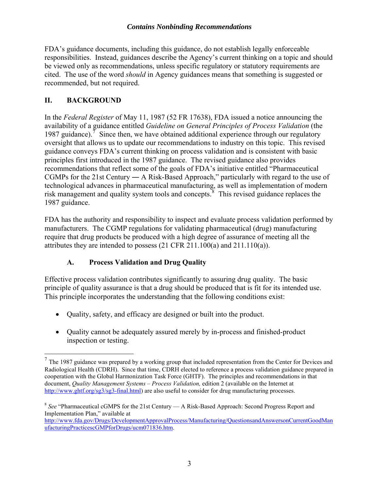<span id="page-5-0"></span>FDA's guidance documents, including this guidance, do not establish legally enforceable responsibilities. Instead, guidances describe the Agency's current thinking on a topic and should be viewed only as recommendations, unless specific regulatory or statutory requirements are cited. The use of the word *should* in Agency guidances means that something is suggested or recommended, but not required.

#### **II. BACKGROUND**

 $\overline{a}$ 

In the *Federal Register* of May 11, 1987 (52 FR 17638), FDA issued a notice announcing the availability of a guidance entitled *Guideline on General Principles of Process Validation* (the 198[7](#page-5-1) guidance).  $\bar{7}$  Since then, we have obtained additional experience through our regulatory oversight that allows us to update our recommendations to industry on this topic. This revised guidance conveys FDA's current thinking on process validation and is consistent with basic principles first introduced in the 1987 guidance. The revised guidance also provides recommendations that reflect some of the goals of FDA's initiative entitled "Pharmaceutical CGMPs for the 21st Century ― A Risk-Based Approach," particularly with regard to the use of technological advances in pharmaceutical manufacturing, as well as implementation of modern risk management and quality system tools and concepts. $\frac{8}{3}$  $\frac{8}{3}$  $\frac{8}{3}$  This revised guidance replaces the 1987 guidance.

FDA has the authority and responsibility to inspect and evaluate process validation performed by manufacturers. The CGMP regulations for validating pharmaceutical (drug) manufacturing require that drug products be produced with a high degree of assurance of meeting all the attributes they are intended to possess (21 CFR 211.100(a) and 211.110(a)).

#### **A. Process Validation and Drug Quality**

Effective process validation contributes significantly to assuring drug quality. The basic principle of quality assurance is that a drug should be produced that is fit for its intended use. This principle incorporates the understanding that the following conditions exist:

- Quality, safety, and efficacy are designed or built into the product.
- Quality cannot be adequately assured merely by in-process and finished-product inspection or testing.

[http://www.fda.gov/Drugs/DevelopmentApprovalProcess/Manufacturing/QuestionsandAnswersonCurrentGoodMan](http://www.fda.gov/Drugs/DevelopmentApprovalProcess/Manufacturing/QuestionsandAnswersonCurrentGoodManufacturingPracticescGMPforDrugs/ucm071836.htm) [ufacturingPracticescGMPforDrugs/ucm071836.htm.](http://www.fda.gov/Drugs/DevelopmentApprovalProcess/Manufacturing/QuestionsandAnswersonCurrentGoodManufacturingPracticescGMPforDrugs/ucm071836.htm)

<span id="page-5-1"></span> $<sup>7</sup>$  The 1987 guidance was prepared by a working group that included representation from the Center for Devices and</sup> Radiological Health (CDRH). Since that time, CDRH elected to reference a process validation guidance prepared in cooperation with the Global Harmonization Task Force (GHTF). The principles and recommendations in that document, *Quality Management Systems – Process Validation,* edition 2 (available on the Internet at [http://www.ghtf.org/sg3/sg3-final.html\)](http://www.ghtf.org/sg3/sg3-final.html) are also useful to consider for drug manufacturing processes.

<span id="page-5-2"></span><sup>8</sup> *See* "Pharmaceutical cGMPS for the 21st Century — A Risk-Based Approach: Second Progress Report and Implementation Plan," available at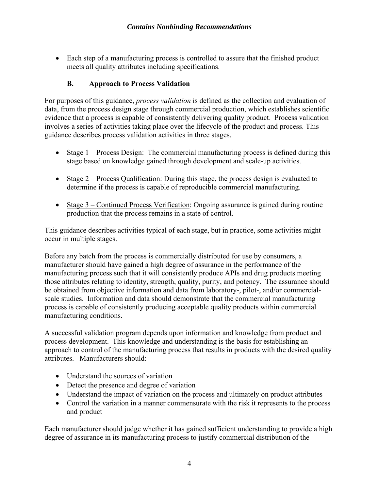<span id="page-6-0"></span>• Each step of a manufacturing process is controlled to assure that the finished product meets all quality attributes including specifications.

#### **B. Approach to Process Validation**

For purposes of this guidance, *process validation* is defined as the collection and evaluation of data, from the process design stage through commercial production, which establishes scientific evidence that a process is capable of consistently delivering quality product. Process validation involves a series of activities taking place over the lifecycle of the product and process. This guidance describes process validation activities in three stages.

- Stage 1 Process Design: The commercial manufacturing process is defined during this stage based on knowledge gained through development and scale-up activities.
- Stage 2 Process Qualification: During this stage, the process design is evaluated to determine if the process is capable of reproducible commercial manufacturing.
- Stage 3 Continued Process Verification: Ongoing assurance is gained during routine production that the process remains in a state of control.

This guidance describes activities typical of each stage, but in practice, some activities might occur in multiple stages.

Before any batch from the process is commercially distributed for use by consumers, a manufacturer should have gained a high degree of assurance in the performance of the manufacturing process such that it will consistently produce APIs and drug products meeting those attributes relating to identity, strength, quality, purity, and potency. The assurance should be obtained from objective information and data from laboratory-, pilot-, and/or commercialscale studies. Information and data should demonstrate that the commercial manufacturing process is capable of consistently producing acceptable quality products within commercial manufacturing conditions.

A successful validation program depends upon information and knowledge from product and process development. This knowledge and understanding is the basis for establishing an approach to control of the manufacturing process that results in products with the desired quality attributes. Manufacturers should:

- Understand the sources of variation
- Detect the presence and degree of variation
- Understand the impact of variation on the process and ultimately on product attributes
- Control the variation in a manner commensurate with the risk it represents to the process and product

Each manufacturer should judge whether it has gained sufficient understanding to provide a high degree of assurance in its manufacturing process to justify commercial distribution of the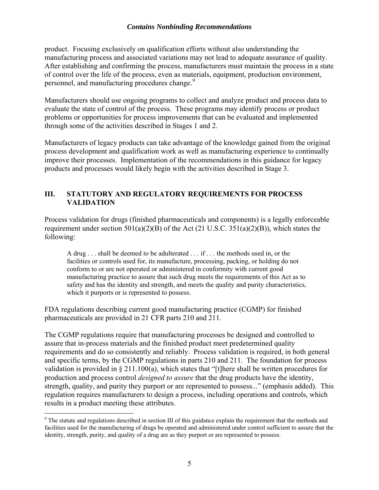<span id="page-7-0"></span>product. Focusing exclusively on qualification efforts without also understanding the manufacturing process and associated variations may not lead to adequate assurance of quality. After establishing and confirming the process, manufacturers must maintain the process in a state of control over the life of the process, even as materials, equipment, production environment, personnel, and manufacturing procedures change.<sup>[9](#page-7-1)</sup>

Manufacturers should use ongoing programs to collect and analyze product and process data to evaluate the state of control of the process. These programs may identify process or product problems or opportunities for process improvements that can be evaluated and implemented through some of the activities described in Stages 1 and 2.

Manufacturers of legacy products can take advantage of the knowledge gained from the original process development and qualification work as well as manufacturing experience to continually improve their processes. Implementation of the recommendations in this guidance for legacy products and processes would likely begin with the activities described in Stage 3.

#### **III. STATUTORY AND REGULATORY REQUIREMENTS FOR PROCESS VALIDATION**

Process validation for drugs (finished pharmaceuticals and components) is a legally enforceable requirement under section  $501(a)(2)(B)$  of the Act  $(21 U.S.C. 351(a)(2)(B))$ , which states the following:

A drug . . . shall be deemed to be adulterated . . . if . . . the methods used in, or the facilities or controls used for, its manufacture, processing, packing, or holding do not conform to or are not operated or administered in conformity with current good manufacturing practice to assure that such drug meets the requirements of this Act as to safety and has the identity and strength, and meets the quality and purity characteristics, which it purports or is represented to possess.

FDA regulations describing current good manufacturing practice (CGMP) for finished pharmaceuticals are provided in 21 CFR parts 210 and 211.

The CGMP regulations require that manufacturing processes be designed and controlled to assure that in-process materials and the finished product meet predetermined quality requirements and do so consistently and reliably. Process validation is required, in both general and specific terms, by the CGMP regulations in parts 210 and 211. The foundation for process validation is provided in § 211.100(a), which states that "[t]here shall be written procedures for production and process control *designed to assure* that the drug products have the identity, strength, quality, and purity they purport or are represented to possess..." (emphasis added). This regulation requires manufacturers to design a process, including operations and controls, which results in a product meeting these attributes.

<span id="page-7-1"></span><sup>&</sup>lt;sup>9</sup> The statute and regulations described in section III of this guidance explain the requirement that the methods and facilities used for the manufacturing of drugs be operated and administered under control sufficient to assure that the identity, strength, purity, and quality of a drug are as they purport or are represented to possess.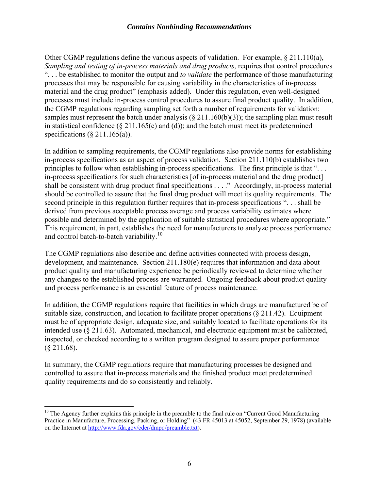Other CGMP regulations define the various aspects of validation. For example, § 211.110(a), *Sampling and testing of in-process materials and drug products*, requires that control procedures ". . . be established to monitor the output and *to validate* the performance of those manufacturing processes that may be responsible for causing variability in the characteristics of in-process material and the drug product" (emphasis added). Under this regulation, even well-designed processes must include in-process control procedures to assure final product quality. In addition, the CGMP regulations regarding sampling set forth a number of requirements for validation: samples must represent the batch under analysis ( $\S$  211.160(b)(3)); the sampling plan must result in statistical confidence ( $\S$  211.165(c) and (d)); and the batch must meet its predetermined specifications  $(\S$  211.165(a)).

In addition to sampling requirements, the CGMP regulations also provide norms for establishing in-process specifications as an aspect of process validation. Section 211.110(b) establishes two principles to follow when establishing in-process specifications. The first principle is that "... in-process specifications for such characteristics [of in-process material and the drug product] shall be consistent with drug product final specifications . . . ." Accordingly, in-process material should be controlled to assure that the final drug product will meet its quality requirements. The second principle in this regulation further requires that in-process specifications ". . . shall be derived from previous acceptable process average and process variability estimates where possible and determined by the application of suitable statistical procedures where appropriate." This requirement, in part, establishes the need for manufacturers to analyze process performance and control batch-to-batch variability.<sup>[10](#page-8-0)</sup>

The CGMP regulations also describe and define activities connected with process design, development, and maintenance. Section 211.180(e) requires that information and data about product quality and manufacturing experience be periodically reviewed to determine whether any changes to the established process are warranted. Ongoing feedback about product quality and process performance is an essential feature of process maintenance.

In addition, the CGMP regulations require that facilities in which drugs are manufactured be of suitable size, construction, and location to facilitate proper operations (§ 211.42). Equipment must be of appropriate design, adequate size, and suitably located to facilitate operations for its intended use (§ 211.63). Automated, mechanical, and electronic equipment must be calibrated, inspected, or checked according to a written program designed to assure proper performance (§ 211.68).

In summary, the CGMP regulations require that manufacturing processes be designed and controlled to assure that in-process materials and the finished product meet predetermined quality requirements and do so consistently and reliably.

 $\overline{a}$ 

<span id="page-8-0"></span><sup>&</sup>lt;sup>10</sup> The Agency further explains this principle in the preamble to the final rule on "Current Good Manufacturing Practice in Manufacture, Processing, Packing, or Holding" (43 FR 45013 at 45052, September 29, 1978) (available on the Internet at<http://www.fda.gov/cder/dmpq/preamble.txt>).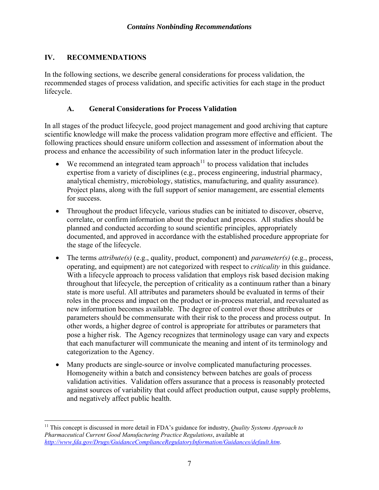#### <span id="page-9-0"></span>**IV. RECOMMENDATIONS**

In the following sections, we describe general considerations for process validation, the recommended stages of process validation, and specific activities for each stage in the product lifecycle.

#### **A. General Considerations for Process Validation**

In all stages of the product lifecycle, good project management and good archiving that capture scientific knowledge will make the process validation program more effective and efficient. The following practices should ensure uniform collection and assessment of information about the process and enhance the accessibility of such information later in the product lifecycle.

- We recommend an integrated team approach<sup>[11](#page-9-1)</sup> to process validation that includes expertise from a variety of disciplines (e.g., process engineering, industrial pharmacy, analytical chemistry, microbiology, statistics, manufacturing, and quality assurance). Project plans, along with the full support of senior management, are essential elements for success.
- Throughout the product lifecycle, various studies can be initiated to discover, observe, correlate, or confirm information about the product and process. All studies should be planned and conducted according to sound scientific principles, appropriately documented, and approved in accordance with the established procedure appropriate for the stage of the lifecycle.
- The terms *attribute(s)* (e.g., quality, product, component) and *parameter(s)* (e.g., process, operating, and equipment) are not categorized with respect to *criticality* in this guidance. With a lifecycle approach to process validation that employs risk based decision making throughout that lifecycle, the perception of criticality as a continuum rather than a binary state is more useful. All attributes and parameters should be evaluated in terms of their roles in the process and impact on the product or in-process material, and reevaluated as new information becomes available. The degree of control over those attributes or parameters should be commensurate with their risk to the process and process output. In other words, a higher degree of control is appropriate for attributes or parameters that pose a higher risk. The Agency recognizes that terminology usage can vary and expects that each manufacturer will communicate the meaning and intent of its terminology and categorization to the Agency.
- Many products are single-source or involve complicated manufacturing processes. Homogeneity within a batch and consistency between batches are goals of process validation activities. Validation offers assurance that a process is reasonably protected against sources of variability that could affect production output, cause supply problems, and negatively affect public health.

<span id="page-9-1"></span> $\overline{a}$ <sup>11</sup> This concept is discussed in more detail in FDA's guidance for industry, *Quality Systems Approach to Pharmaceutical Current Good Manufacturing Practice Regulations*, available at *<http://www.fda.gov/Drugs/GuidanceComplianceRegulatoryInformation/Guidances/default.htm>*.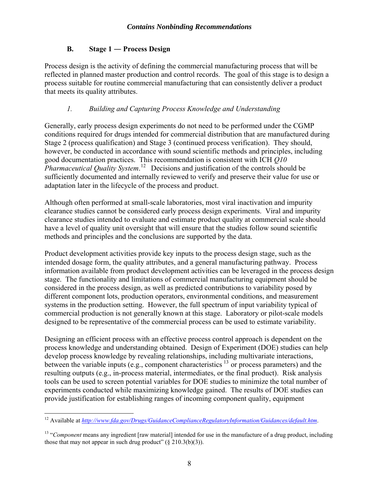#### **B. Stage 1 ― Process Design**

<span id="page-10-0"></span>Process design is the activity of defining the commercial manufacturing process that will be reflected in planned master production and control records. The goal of this stage is to design a process suitable for routine commercial manufacturing that can consistently deliver a product that meets its quality attributes.

#### *1. Building and Capturing Process Knowledge and Understanding*

Generally, early process design experiments do not need to be performed under the CGMP conditions required for drugs intended for commercial distribution that are manufactured during Stage 2 (process qualification) and Stage 3 (continued process verification). They should, however, be conducted in accordance with sound scientific methods and principles, including good documentation practices. This recommendation is consistent with ICH *Q10 Pharmaceutical Quality System*. [12](#page-10-1) Decisions and justification of the controls should be sufficiently documented and internally reviewed to verify and preserve their value for use or adaptation later in the lifecycle of the process and product.

Although often performed at small-scale laboratories, most viral inactivation and impurity clearance studies cannot be considered early process design experiments. Viral and impurity clearance studies intended to evaluate and estimate product quality at commercial scale should have a level of quality unit oversight that will ensure that the studies follow sound scientific methods and principles and the conclusions are supported by the data.

Product development activities provide key inputs to the process design stage, such as the intended dosage form, the quality attributes, and a general manufacturing pathway. Process information available from product development activities can be leveraged in the process design stage. The functionality and limitations of commercial manufacturing equipment should be considered in the process design, as well as predicted contributions to variability posed by different component lots, production operators, environmental conditions, and measurement systems in the production setting. However, the full spectrum of input variability typical of commercial production is not generally known at this stage. Laboratory or pilot-scale models designed to be representative of the commercial process can be used to estimate variability.

Designing an efficient process with an effective process control approach is dependent on the process knowledge and understanding obtained. Design of Experiment (DOE) studies can help develop process knowledge by revealing relationships, including multivariate interactions, between the variable inputs (e.g., component characteristics  $\frac{13}{13}$  $\frac{13}{13}$  $\frac{13}{13}$  or process parameters) and the resulting outputs (e.g., in-process material, intermediates, or the final product). Risk analysis tools can be used to screen potential variables for DOE studies to minimize the total number of experiments conducted while maximizing knowledge gained. The results of DOE studies can provide justification for establishing ranges of incoming component quality, equipment

<span id="page-10-1"></span> $\overline{a}$ 12 Available at *<http://www.fda.gov/Drugs/GuidanceComplianceRegulatoryInformation/Guidances/default.htm>*.

<span id="page-10-2"></span><sup>&</sup>lt;sup>13</sup> "*Component* means any ingredient [raw material] intended for use in the manufacture of a drug product, including those that may not appear in such drug product"  $(\S 210.3(b)(3))$ .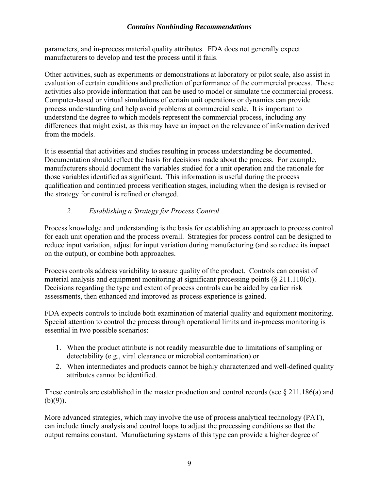<span id="page-11-0"></span>parameters, and in-process material quality attributes. FDA does not generally expect manufacturers to develop and test the process until it fails.

Other activities, such as experiments or demonstrations at laboratory or pilot scale, also assist in evaluation of certain conditions and prediction of performance of the commercial process. These activities also provide information that can be used to model or simulate the commercial process. Computer-based or virtual simulations of certain unit operations or dynamics can provide process understanding and help avoid problems at commercial scale. It is important to understand the degree to which models represent the commercial process, including any differences that might exist, as this may have an impact on the relevance of information derived from the models.

It is essential that activities and studies resulting in process understanding be documented. Documentation should reflect the basis for decisions made about the process. For example, manufacturers should document the variables studied for a unit operation and the rationale for those variables identified as significant. This information is useful during the process qualification and continued process verification stages, including when the design is revised or the strategy for control is refined or changed.

#### *2. Establishing a Strategy for Process Control*

Process knowledge and understanding is the basis for establishing an approach to process control for each unit operation and the process overall. Strategies for process control can be designed to reduce input variation, adjust for input variation during manufacturing (and so reduce its impact on the output), or combine both approaches.

Process controls address variability to assure quality of the product. Controls can consist of material analysis and equipment monitoring at significant processing points  $(\S 211.110(c))$ . Decisions regarding the type and extent of process controls can be aided by earlier risk assessments, then enhanced and improved as process experience is gained.

FDA expects controls to include both examination of material quality and equipment monitoring. Special attention to control the process through operational limits and in-process monitoring is essential in two possible scenarios:

- 1. When the product attribute is not readily measurable due to limitations of sampling or detectability (e.g., viral clearance or microbial contamination) or
- 2. When intermediates and products cannot be highly characterized and well-defined quality attributes cannot be identified.

These controls are established in the master production and control records (see § 211.186(a) and  $(b)(9)$ ).

More advanced strategies, which may involve the use of process analytical technology (PAT), can include timely analysis and control loops to adjust the processing conditions so that the output remains constant. Manufacturing systems of this type can provide a higher degree of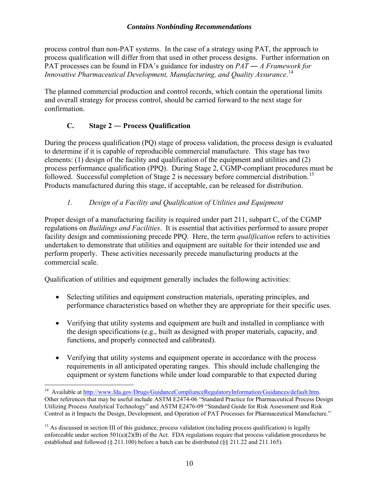<span id="page-12-0"></span>process control than non-PAT systems. In the case of a strategy using PAT, the approach to process qualification will differ from that used in other process designs. Further information on PAT processes can be found in FDA's guidance for industry on *PAT ― A Framework for Innovative Pharmaceutical Development, Manufacturing, and Quality Assurance*. [14](#page-12-1)

The planned commercial production and control records, which contain the operational limits and overall strategy for process control, should be carried forward to the next stage for confirmation.

#### **C. Stage 2 ― Process Qualification**

 $\overline{a}$ 

During the process qualification (PQ) stage of process validation, the process design is evaluated to determine if it is capable of reproducible commercial manufacture. This stage has two elements: (1) design of the facility and qualification of the equipment and utilities and (2) process performance qualification (PPQ). During Stage 2, CGMP-compliant procedures must be followed. Successful completion of Stage 2 is necessary before commercial distribution.<sup>[15](#page-12-2)</sup> Products manufactured during this stage, if acceptable, can be released for distribution.

#### *1. Design of a Facility and Qualification of Utilities and Equipment*

Proper design of a manufacturing facility is required under part 211, subpart C, of the CGMP regulations on *Buildings and Facilities*. It is essential that activities performed to assure proper facility design and commissioning precede PPQ. Here, the term *qualification* refers to activities undertaken to demonstrate that utilities and equipment are suitable for their intended use and perform properly. These activities necessarily precede manufacturing products at the commercial scale.

Qualification of utilities and equipment generally includes the following activities:

- Selecting utilities and equipment construction materials, operating principles, and performance characteristics based on whether they are appropriate for their specific uses.
- Verifying that utility systems and equipment are built and installed in compliance with the design specifications (e.g., built as designed with proper materials, capacity, and functions, and properly connected and calibrated).
- Verifying that utility systems and equipment operate in accordance with the process requirements in all anticipated operating ranges. This should include challenging the equipment or system functions while under load comparable to that expected during

<span id="page-12-1"></span><sup>&</sup>lt;sup>14</sup> Available at <http://www.fda.gov/Drugs/GuidanceComplianceRegulatoryInformation/Guidances/default.htm>. Other references that may be useful include ASTM E2474-06 "Standard Practice for Pharmaceutical Process Design Utilizing Process Analytical Technology" and ASTM E2476-09 "Standard Guide for Risk Assessment and Risk Control as it Impacts the Design, Development, and Operation of PAT Processes for Pharmaceutical Manufacture."

<span id="page-12-2"></span><sup>&</sup>lt;sup>15</sup> As discussed in section III of this guidance, process validation (including process qualification) is legally enforceable under section  $501(a)(2)(B)$  of the Act. FDA regulations require that process validation procedures be established and followed (§ 211.100) before a batch can be distributed (§§ 211.22 and 211.165).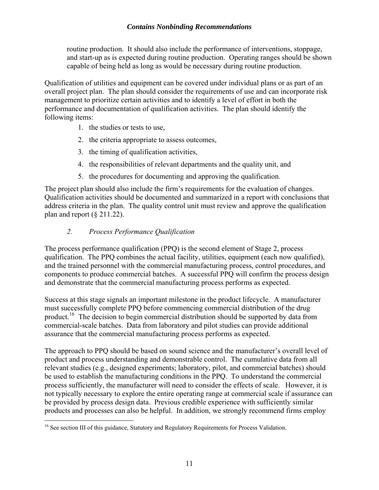<span id="page-13-0"></span>routine production. It should also include the performance of interventions, stoppage, and start-up as is expected during routine production. Operating ranges should be shown capable of being held as long as would be necessary during routine production.

Qualification of utilities and equipment can be covered under individual plans or as part of an overall project plan. The plan should consider the requirements of use and can incorporate risk management to prioritize certain activities and to identify a level of effort in both the performance and documentation of qualification activities. The plan should identify the following items:

- 1. the studies or tests to use,
- 2. the criteria appropriate to assess outcomes,
- 3. the timing of qualification activities,
- 4. the responsibilities of relevant departments and the quality unit, and
- 5. the procedures for documenting and approving the qualification.

The project plan should also include the firm's requirements for the evaluation of changes. Qualification activities should be documented and summarized in a report with conclusions that address criteria in the plan. The quality control unit must review and approve the qualification plan and report  $(\S$  211.22).

#### *2. Process Performance Qualification*

The process performance qualification (PPQ) is the second element of Stage 2, process qualification. The PPQ combines the actual facility, utilities, equipment (each now qualified), and the trained personnel with the commercial manufacturing process, control procedures, and components to produce commercial batches. A successful PPQ will confirm the process design and demonstrate that the commercial manufacturing process performs as expected.

Success at this stage signals an important milestone in the product lifecycle. A manufacturer must successfully complete PPQ before commencing commercial distribution of the drug product.[16](#page-13-1) The decision to begin commercial distribution should be supported by data from commercial-scale batches. Data from laboratory and pilot studies can provide additional assurance that the commercial manufacturing process performs as expected.

The approach to PPQ should be based on sound science and the manufacturer's overall level of product and process understanding and demonstrable control. The cumulative data from all relevant studies (e.g., designed experiments; laboratory, pilot, and commercial batches) should be used to establish the manufacturing conditions in the PPQ. To understand the commercial process sufficiently, the manufacturer will need to consider the effects of scale. However, it is not typically necessary to explore the entire operating range at commercial scale if assurance can be provided by process design data. Previous credible experience with sufficiently similar products and processes can also be helpful. In addition, we strongly recommend firms employ

<span id="page-13-1"></span> $\overline{a}$ <sup>16</sup> See section III of this guidance, Statutory and Regulatory Requirements for Process Validation.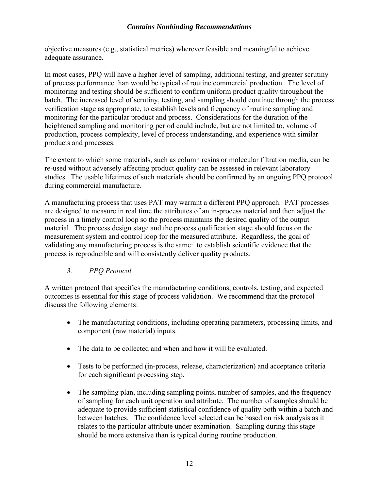<span id="page-14-0"></span>objective measures (e.g., statistical metrics) wherever feasible and meaningful to achieve adequate assurance.

In most cases, PPQ will have a higher level of sampling, additional testing, and greater scrutiny of process performance than would be typical of routine commercial production. The level of monitoring and testing should be sufficient to confirm uniform product quality throughout the batch. The increased level of scrutiny, testing, and sampling should continue through the process verification stage as appropriate, to establish levels and frequency of routine sampling and monitoring for the particular product and process. Considerations for the duration of the heightened sampling and monitoring period could include, but are not limited to, volume of production, process complexity, level of process understanding, and experience with similar products and processes.

The extent to which some materials, such as column resins or molecular filtration media, can be re-used without adversely affecting product quality can be assessed in relevant laboratory studies. The usable lifetimes of such materials should be confirmed by an ongoing PPQ protocol during commercial manufacture.

A manufacturing process that uses PAT may warrant a different PPQ approach. PAT processes are designed to measure in real time the attributes of an in-process material and then adjust the process in a timely control loop so the process maintains the desired quality of the output material. The process design stage and the process qualification stage should focus on the measurement system and control loop for the measured attribute. Regardless, the goal of validating any manufacturing process is the same: to establish scientific evidence that the process is reproducible and will consistently deliver quality products.

#### *3. PPQ Protocol*

A written protocol that specifies the manufacturing conditions, controls, testing, and expected outcomes is essential for this stage of process validation. We recommend that the protocol discuss the following elements:

- The manufacturing conditions, including operating parameters, processing limits, and component (raw material) inputs.
- The data to be collected and when and how it will be evaluated.
- Tests to be performed (in-process, release, characterization) and acceptance criteria for each significant processing step.
- The sampling plan, including sampling points, number of samples, and the frequency of sampling for each unit operation and attribute. The number of samples should be adequate to provide sufficient statistical confidence of quality both within a batch and between batches. The confidence level selected can be based on risk analysis as it relates to the particular attribute under examination. Sampling during this stage should be more extensive than is typical during routine production.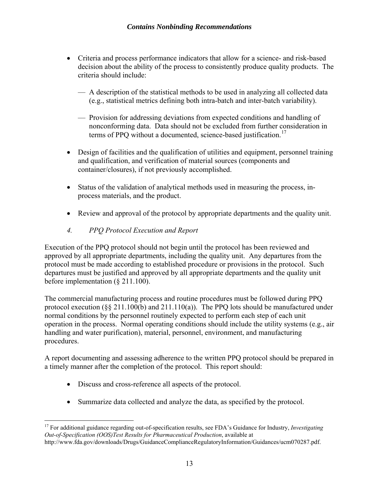- <span id="page-15-0"></span>• Criteria and process performance indicators that allow for a science- and risk-based decision about the ability of the process to consistently produce quality products. The criteria should include:
	- A description of the statistical methods to be used in analyzing all collected data (e.g., statistical metrics defining both intra-batch and inter-batch variability).
	- Provision for addressing deviations from expected conditions and handling of nonconforming data. Data should not be excluded from further consideration in terms of PPQ without a documented, science-based justification.<sup>[17](#page-15-1)</sup>
- Design of facilities and the qualification of utilities and equipment, personnel training and qualification, and verification of material sources (components and container/closures), if not previously accomplished.
- Status of the validation of analytical methods used in measuring the process, inprocess materials, and the product.
- Review and approval of the protocol by appropriate departments and the quality unit.
- *4. PPQ Protocol Execution and Report*

Execution of the PPQ protocol should not begin until the protocol has been reviewed and approved by all appropriate departments, including the quality unit. Any departures from the protocol must be made according to established procedure or provisions in the protocol. Such departures must be justified and approved by all appropriate departments and the quality unit before implementation (§ 211.100).

The commercial manufacturing process and routine procedures must be followed during PPQ protocol execution ( $\S$ § 211.100(b) and 211.110(a)). The PPQ lots should be manufactured under normal conditions by the personnel routinely expected to perform each step of each unit operation in the process. Normal operating conditions should include the utility systems (e.g., air handling and water purification), material, personnel, environment, and manufacturing procedures.

A report documenting and assessing adherence to the written PPQ protocol should be prepared in a timely manner after the completion of the protocol. This report should:

- Discuss and cross-reference all aspects of the protocol.
- Summarize data collected and analyze the data, as specified by the protocol.

<span id="page-15-1"></span> $\overline{a}$ 17 For additional guidance regarding out-of-specification results, see FDA's Guidance for Industry, *Investigating Out-of-Specification (OOS)Test Results for Pharmaceutical Production*, available at

http://www.fda.gov/downloads/Drugs/GuidanceComplianceRegulatoryInformation/Guidances/ucm070287.pdf.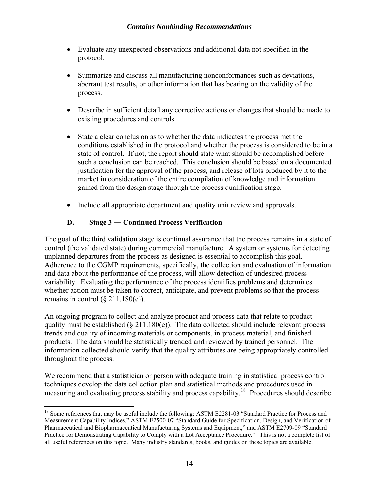- <span id="page-16-0"></span>• Evaluate any unexpected observations and additional data not specified in the protocol.
- Summarize and discuss all manufacturing nonconformances such as deviations, aberrant test results, or other information that has bearing on the validity of the process.
- Describe in sufficient detail any corrective actions or changes that should be made to existing procedures and controls.
- State a clear conclusion as to whether the data indicates the process met the conditions established in the protocol and whether the process is considered to be in a state of control. If not, the report should state what should be accomplished before such a conclusion can be reached. This conclusion should be based on a documented justification for the approval of the process, and release of lots produced by it to the market in consideration of the entire compilation of knowledge and information gained from the design stage through the process qualification stage.
- Include all appropriate department and quality unit review and approvals.

#### **D. Stage 3 ― Continued Process Verification**

The goal of the third validation stage is continual assurance that the process remains in a state of control (the validated state) during commercial manufacture. A system or systems for detecting unplanned departures from the process as designed is essential to accomplish this goal. Adherence to the CGMP requirements, specifically, the collection and evaluation of information and data about the performance of the process, will allow detection of undesired process variability. Evaluating the performance of the process identifies problems and determines whether action must be taken to correct, anticipate, and prevent problems so that the process remains in control  $(\S 211.180(e))$ .

An ongoing program to collect and analyze product and process data that relate to product quality must be established  $(\S 211.180(e))$ . The data collected should include relevant process trends and quality of incoming materials or components, in-process material, and finished products. The data should be statistically trended and reviewed by trained personnel. The information collected should verify that the quality attributes are being appropriately controlled throughout the process.

We recommend that a statistician or person with adequate training in statistical process control techniques develop the data collection plan and statistical methods and procedures used in measuring and evaluating process stability and process capability.<sup>[18](#page-16-1)</sup> Procedures should describe

<span id="page-16-1"></span> $\overline{a}$ <sup>18</sup> Some references that may be useful include the following: ASTM E2281-03 "Standard Practice for Process and Measurement Capability Indices," ASTM E2500-07 "Standard Guide for Specification, Design, and Verification of Pharmaceutical and Biopharmaceutical Manufacturing Systems and Equipment," and ASTM E2709-09 "Standard Practice for Demonstrating Capability to Comply with a Lot Acceptance Procedure." This is not a complete list of all useful references on this topic. Many industry standards, books, and guides on these topics are available.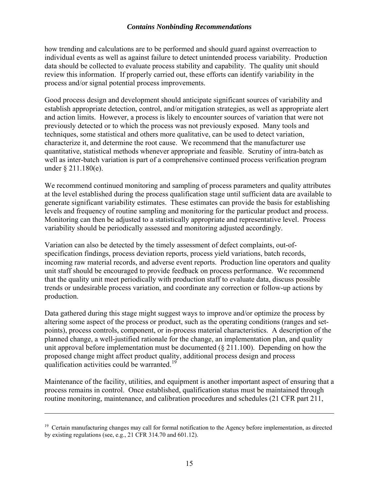how trending and calculations are to be performed and should guard against overreaction to individual events as well as against failure to detect unintended process variability. Production data should be collected to evaluate process stability and capability. The quality unit should review this information. If properly carried out, these efforts can identify variability in the process and/or signal potential process improvements.

Good process design and development should anticipate significant sources of variability and establish appropriate detection, control, and/or mitigation strategies, as well as appropriate alert and action limits. However, a process is likely to encounter sources of variation that were not previously detected or to which the process was not previously exposed. Many tools and techniques, some statistical and others more qualitative, can be used to detect variation, characterize it, and determine the root cause. We recommend that the manufacturer use quantitative, statistical methods whenever appropriate and feasible. Scrutiny of intra-batch as well as inter-batch variation is part of a comprehensive continued process verification program under  $\S$  211.180(e).

We recommend continued monitoring and sampling of process parameters and quality attributes at the level established during the process qualification stage until sufficient data are available to generate significant variability estimates. These estimates can provide the basis for establishing levels and frequency of routine sampling and monitoring for the particular product and process. Monitoring can then be adjusted to a statistically appropriate and representative level. Process variability should be periodically assessed and monitoring adjusted accordingly.

Variation can also be detected by the timely assessment of defect complaints, out-ofspecification findings, process deviation reports, process yield variations, batch records, incoming raw material records, and adverse event reports. Production line operators and quality unit staff should be encouraged to provide feedback on process performance. We recommend that the quality unit meet periodically with production staff to evaluate data, discuss possible trends or undesirable process variation, and coordinate any correction or follow-up actions by production.

Data gathered during this stage might suggest ways to improve and/or optimize the process by altering some aspect of the process or product, such as the operating conditions (ranges and setpoints), process controls, component, or in-process material characteristics. A description of the planned change, a well-justified rationale for the change, an implementation plan, and quality unit approval before implementation must be documented (§ 211.100). Depending on how the proposed change might affect product quality, additional process design and process qualification activities could be warranted.<sup>[19](#page-17-0)</sup>

Maintenance of the facility, utilities, and equipment is another important aspect of ensuring that a process remains in control. Once established, qualification status must be maintained through routine monitoring, maintenance, and calibration procedures and schedules (21 CFR part 211,

 $\overline{a}$ 

<span id="page-17-0"></span><sup>&</sup>lt;sup>19</sup> Certain manufacturing changes may call for formal notification to the Agency before implementation, as directed by existing regulations (see, e.g., 21 CFR 314.70 and 601.12).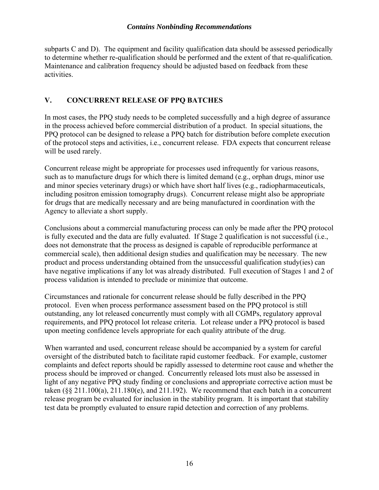<span id="page-18-0"></span>subparts C and D). The equipment and facility qualification data should be assessed periodically to determine whether re-qualification should be performed and the extent of that re-qualification. Maintenance and calibration frequency should be adjusted based on feedback from these activities.

#### **V. CONCURRENT RELEASE OF PPQ BATCHES**

In most cases, the PPQ study needs to be completed successfully and a high degree of assurance in the process achieved before commercial distribution of a product. In special situations, the PPQ protocol can be designed to release a PPQ batch for distribution before complete execution of the protocol steps and activities, i.e., concurrent release. FDA expects that concurrent release will be used rarely.

Concurrent release might be appropriate for processes used infrequently for various reasons, such as to manufacture drugs for which there is limited demand (e.g., orphan drugs, minor use and minor species veterinary drugs) or which have short half lives (e.g., radiopharmaceuticals, including positron emission tomography drugs). Concurrent release might also be appropriate for drugs that are medically necessary and are being manufactured in coordination with the Agency to alleviate a short supply.

Conclusions about a commercial manufacturing process can only be made after the PPQ protocol is fully executed and the data are fully evaluated. If Stage 2 qualification is not successful (i.e., does not demonstrate that the process as designed is capable of reproducible performance at commercial scale), then additional design studies and qualification may be necessary. The new product and process understanding obtained from the unsuccessful qualification study(ies) can have negative implications if any lot was already distributed. Full execution of Stages 1 and 2 of process validation is intended to preclude or minimize that outcome.

Circumstances and rationale for concurrent release should be fully described in the PPQ protocol. Even when process performance assessment based on the PPQ protocol is still outstanding, any lot released concurrently must comply with all CGMPs, regulatory approval requirements, and PPQ protocol lot release criteria. Lot release under a PPQ protocol is based upon meeting confidence levels appropriate for each quality attribute of the drug.

When warranted and used, concurrent release should be accompanied by a system for careful oversight of the distributed batch to facilitate rapid customer feedback. For example, customer complaints and defect reports should be rapidly assessed to determine root cause and whether the process should be improved or changed. Concurrently released lots must also be assessed in light of any negative PPQ study finding or conclusions and appropriate corrective action must be taken (§§ 211.100(a), 211.180(e), and 211.192). We recommend that each batch in a concurrent release program be evaluated for inclusion in the stability program. It is important that stability test data be promptly evaluated to ensure rapid detection and correction of any problems.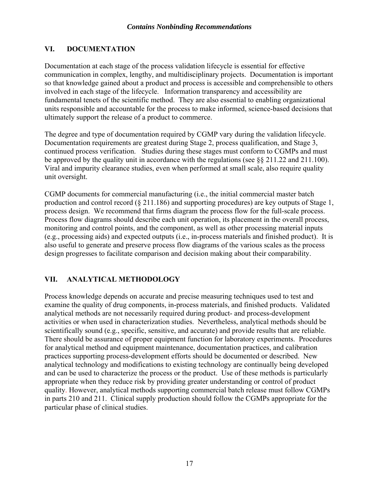#### <span id="page-19-0"></span>**VI. DOCUMENTATION**

Documentation at each stage of the process validation lifecycle is essential for effective communication in complex, lengthy, and multidisciplinary projects. Documentation is important so that knowledge gained about a product and process is accessible and comprehensible to others involved in each stage of the lifecycle. Information transparency and accessibility are fundamental tenets of the scientific method. They are also essential to enabling organizational units responsible and accountable for the process to make informed, science-based decisions that ultimately support the release of a product to commerce.

The degree and type of documentation required by CGMP vary during the validation lifecycle. Documentation requirements are greatest during Stage 2, process qualification, and Stage 3, continued process verification. Studies during these stages must conform to CGMPs and must be approved by the quality unit in accordance with the regulations (see §§ 211.22 and 211.100). Viral and impurity clearance studies, even when performed at small scale, also require quality unit oversight.

CGMP documents for commercial manufacturing (i.e., the initial commercial master batch production and control record (§ 211.186) and supporting procedures) are key outputs of Stage 1, process design. We recommend that firms diagram the process flow for the full-scale process. Process flow diagrams should describe each unit operation, its placement in the overall process, monitoring and control points, and the component, as well as other processing material inputs (e.g., processing aids) and expected outputs (i.e., in-process materials and finished product). It is also useful to generate and preserve process flow diagrams of the various scales as the process design progresses to facilitate comparison and decision making about their comparability.

#### **VII. ANALYTICAL METHODOLOGY**

Process knowledge depends on accurate and precise measuring techniques used to test and examine the quality of drug components, in-process materials, and finished products. Validated analytical methods are not necessarily required during product- and process-development activities or when used in characterization studies. Nevertheless, analytical methods should be scientifically sound (e.g., specific, sensitive, and accurate) and provide results that are reliable. There should be assurance of proper equipment function for laboratory experiments. Procedures for analytical method and equipment maintenance, documentation practices, and calibration practices supporting process-development efforts should be documented or described. New analytical technology and modifications to existing technology are continually being developed and can be used to characterize the process or the product. Use of these methods is particularly appropriate when they reduce risk by providing greater understanding or control of product quality. However, analytical methods supporting commercial batch release must follow CGMPs in parts 210 and 211. Clinical supply production should follow the CGMPs appropriate for the particular phase of clinical studies.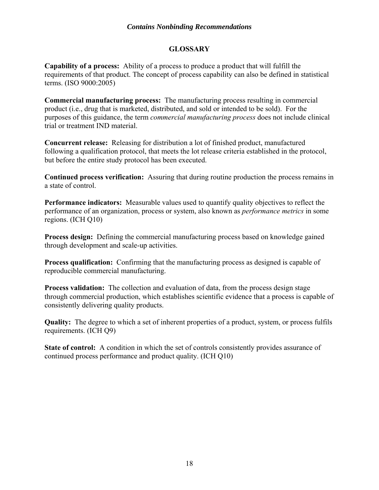#### **GLOSSARY**

<span id="page-20-0"></span>**Capability of a process:** Ability of a process to produce a product that will fulfill the requirements of that product. The concept of process capability can also be defined in statistical terms. (ISO 9000:2005)

**Commercial manufacturing process:** The manufacturing process resulting in commercial product (i.e., drug that is marketed, distributed, and sold or intended to be sold). For the purposes of this guidance, the term *commercial manufacturing process* does not include clinical trial or treatment IND material.

**Concurrent release:** Releasing for distribution a lot of finished product, manufactured following a qualification protocol, that meets the lot release criteria established in the protocol, but before the entire study protocol has been executed.

**Continued process verification:** Assuring that during routine production the process remains in a state of control.

**Performance indicators:** Measurable values used to quantify quality objectives to reflect the performance of an organization, process or system, also known as *performance metrics* in some regions. (ICH Q10)

**Process design:** Defining the commercial manufacturing process based on knowledge gained through development and scale-up activities.

**Process qualification:** Confirming that the manufacturing process as designed is capable of reproducible commercial manufacturing.

**Process validation:** The collection and evaluation of data, from the process design stage through commercial production, which establishes scientific evidence that a process is capable of consistently delivering quality products.

**Quality:** The degree to which a set of inherent properties of a product, system, or process fulfils requirements. (ICH Q9)

**State of control:** A condition in which the set of controls consistently provides assurance of continued process performance and product quality. (ICH Q10)